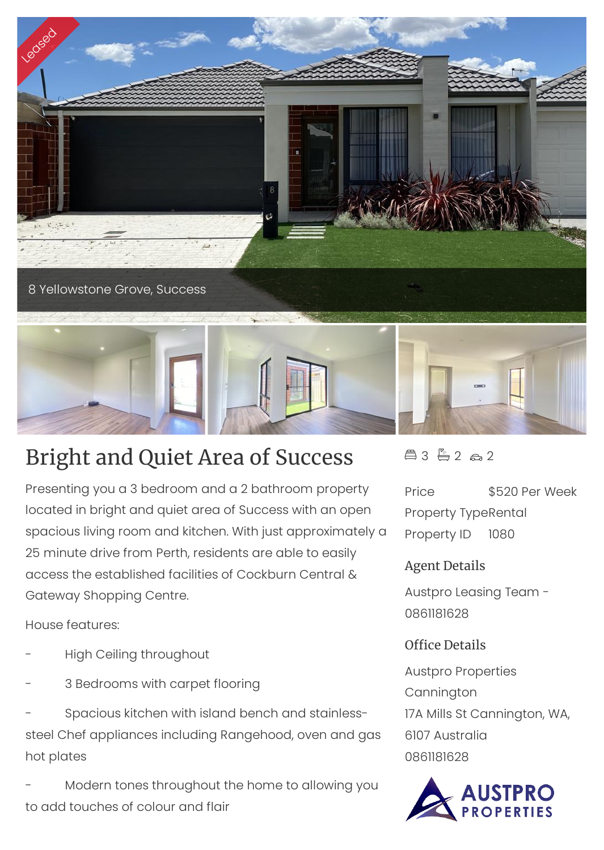

## Bright and Quiet Area of Success

Presenting you a 3 bedroom and a 2 bathroom property located in bright and quiet area of Success with an open spacious living room and kitchen. With just approximately a 25 minute drive from Perth, residents are able to easily access the established facilities of Cockburn Central & Gateway Shopping Centre.

House features:

- High Ceiling throughout
- 3 Bedrooms with carpet flooring

- Spacious kitchen with island bench and stainlesssteel Chef appliances including Rangehood, oven and gas hot plates

Modern tones throughout the home to allowing you to add touches of colour and flair

 $43 - 2 - 2$ 

Price \$520 Per Week Property TypeRental Property ID 1080

## Agent Details

Austpro Leasing Team - 0861181628

## Office Details

Austpro Properties Cannington 17A Mills St Cannington, WA, 6107 Australia 0861181628